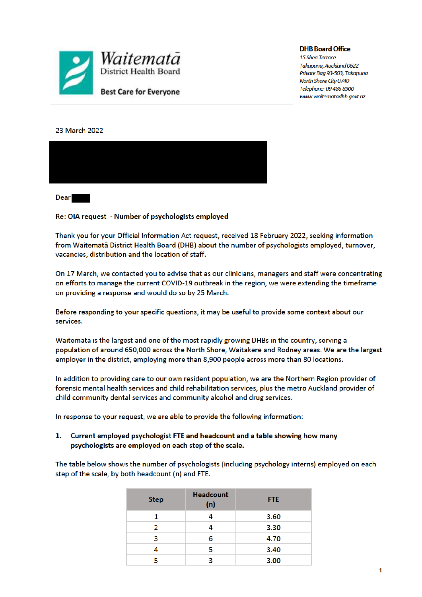

**DHB Board Office** 

15 Shea Terrace Takapuna, Auckland 0622 Private Bag 93-503, Takapuna North Shore City 0740 Telephone: 09 486 8900 www.waitematadhb.govt.nz

## 23 March 2022



**Dear** 

Re: OIA request - Number of psychologists employed

Thank you for your Official Information Act request, received 18 February 2022, seeking information from Waitemata District Health Board (DHB) about the number of psychologists employed, turnover, vacancies, distribution and the location of staff.

On 17 March, we contacted you to advise that as our clinicians, managers and staff were concentrating on efforts to manage the current COVID-19 outbreak in the region, we were extending the timeframe on providing a response and would do so by 25 March.

Before responding to your specific questions, it may be useful to provide some context about our services.

Waitemata is the largest and one of the most rapidly growing DHBs in the country, serving a population of around 650,000 across the North Shore, Waitakere and Rodney areas. We are the largest employer in the district, employing more than 8,900 people across more than 80 locations.

In addition to providing care to our own resident population, we are the Northern Region provider of forensic mental health services and child rehabilitation services, plus the metro Auckland provider of child community dental services and community alcohol and drug services.

In response to your request, we are able to provide the following information:

1. Current employed psychologist FTE and headcount and a table showing how many psychologists are employed on each step of the scale.

The table below shows the number of psychologists (including psychology interns) employed on each step of the scale, by both headcount (n) and FTE.

| <b>Step</b> | <b>Headcount</b><br>(n) | <b>FTE</b> |
|-------------|-------------------------|------------|
|             |                         | 3.60       |
| 2           |                         | 3.30       |
| 3           | 6                       | 4.70       |
|             | 5                       | 3.40       |
| 5           | ર                       | 3.00       |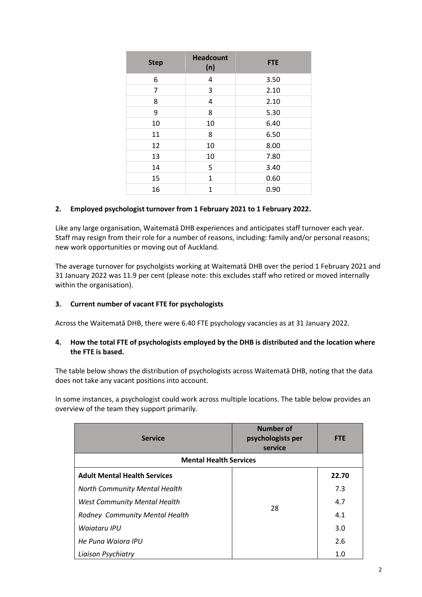| <b>Step</b> | <b>Headcount</b><br>(n) | <b>FTE</b> |
|-------------|-------------------------|------------|
| 6           | 4                       | 3.50       |
| 7           | 3                       | 2.10       |
| 8           | 4                       | 2.10       |
| 9           | 8                       | 5.30       |
| 10          | 10                      | 6.40       |
| 11          | 8                       | 6.50       |
| 12          | 10                      | 8.00       |
| 13          | 10                      | 7.80       |
| 14          | 5                       | 3.40       |
| 15          | 1                       | 0.60       |
| 16          | $\mathbf{1}$            | 0.90       |

## **2. Employed psychologist turnover from 1 February 2021 to 1 February 2022.**

Like any large organisation, Waitematā DHB experiences and anticipates staff turnover each year. Staff may resign from their role for a number of reasons, including: family and/or personal reasons; new work opportunities or moving out of Auckland.

The average turnover for psycholgists working at Waitematā DHB over the period 1 February 2021 and 31 January 2022 was 11.9 per cent (please note: this excludes staff who retired or moved internally within the organisation).

## **3. Current number of vacant FTE for psychologists**

Across the Waitematā DHB, there were 6.40 FTE psychology vacancies as at 31 January 2022.

## **4. How the total FTE of psychologists employed by the DHB is distributed and the location where the FTE is based.**

The table below shows the distribution of psychologists across Waitematā DHB, noting that the data does not take any vacant positions into account.

In some instances, a psychologist could work across multiple locations. The table below provides an overview of the team they support primarily.

| <b>Service</b>                        | Number of<br>psychologists per<br>service | <b>FTE</b> |  |  |  |
|---------------------------------------|-------------------------------------------|------------|--|--|--|
| <b>Mental Health Services</b>         |                                           |            |  |  |  |
| <b>Adult Mental Health Services</b>   |                                           | 22.70      |  |  |  |
| <b>North Community Mental Health</b>  | 28                                        | 7.3        |  |  |  |
| <b>West Community Mental Health</b>   |                                           | 4.7        |  |  |  |
| <b>Rodney Community Mental Health</b> |                                           | 4.1        |  |  |  |
| Waiatary IPU                          |                                           | 3.0        |  |  |  |
| He Puna Waiora IPU                    |                                           | 2.6        |  |  |  |
| Liaison Psychiatry                    |                                           | 1.0        |  |  |  |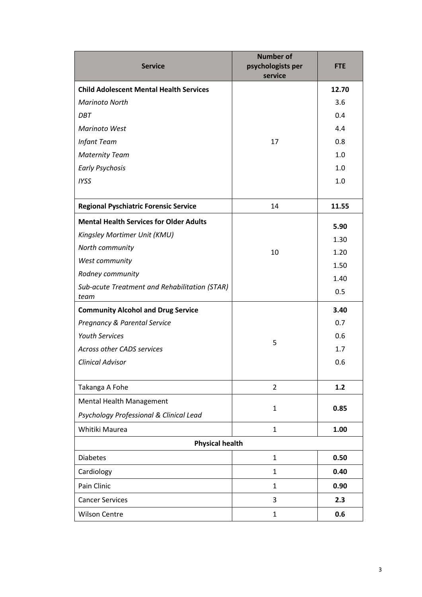| <b>Service</b>                                        | <b>Number of</b><br>psychologists per<br>service | <b>FTE</b> |
|-------------------------------------------------------|--------------------------------------------------|------------|
| <b>Child Adolescent Mental Health Services</b>        |                                                  | 12.70      |
| <b>Marinoto North</b>                                 |                                                  | 3.6        |
| DBT                                                   |                                                  | 0.4        |
| Marinoto West                                         | 17                                               | 4.4        |
| <b>Infant Team</b>                                    |                                                  | 0.8        |
| <b>Maternity Team</b>                                 |                                                  | 1.0        |
| <b>Early Psychosis</b>                                |                                                  | 1.0        |
| <b>IYSS</b>                                           |                                                  | 1.0        |
|                                                       |                                                  |            |
| <b>Regional Pyschiatric Forensic Service</b>          | 14                                               | 11.55      |
| <b>Mental Health Services for Older Adults</b>        |                                                  | 5.90       |
| Kingsley Mortimer Unit (KMU)                          |                                                  | 1.30       |
| North community                                       | 10                                               | 1.20       |
| West community                                        |                                                  | 1.50       |
| Rodney community                                      |                                                  | 1.40       |
| Sub-acute Treatment and Rehabilitation (STAR)<br>team |                                                  | 0.5        |
| <b>Community Alcohol and Drug Service</b>             |                                                  | 3.40       |
| <b>Pregnancy &amp; Parental Service</b>               |                                                  | 0.7        |
| <b>Youth Services</b><br>5                            |                                                  | 0.6        |
| <b>Across other CADS services</b>                     |                                                  | 1.7        |
| <b>Clinical Advisor</b>                               |                                                  | 0.6        |
|                                                       |                                                  |            |
| Takanga A Fohe                                        | $\overline{2}$                                   | $1.2$      |
| Mental Health Management                              | $\mathbf{1}$                                     | 0.85       |
| Psychology Professional & Clinical Lead               |                                                  |            |
| Whitiki Maurea                                        | $\mathbf{1}$                                     | 1.00       |
| <b>Physical health</b>                                |                                                  |            |
| <b>Diabetes</b>                                       | $\mathbf{1}$                                     | 0.50       |
| Cardiology                                            | $\mathbf{1}$                                     | 0.40       |
| Pain Clinic                                           | $\mathbf{1}$                                     | 0.90       |
| <b>Cancer Services</b>                                | 3                                                | 2.3        |
| <b>Wilson Centre</b>                                  | $\mathbf{1}$                                     | 0.6        |